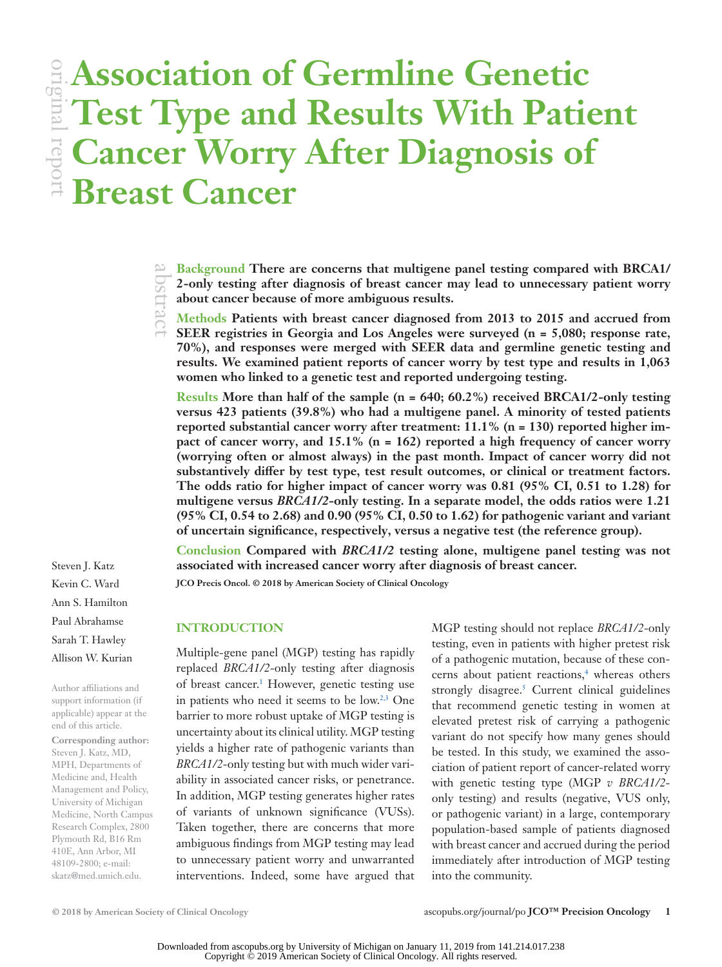**© 2018 by American Society of Clinical Oncology** [ascopubs.org/journal/po](http://ascopubs.org/journal/po) **JCO™ Precision Oncology 1** Downloaded from ascopubs.org by University of Michigan on January 11, 2019 from 141.214.017.238 Copyright © 2019 American Society of Clinical Oncology. All rights reserved.

Author affiliations and support information (if applicable) appear at the end of this article. **Corresponding author:** Steven J. Katz, MD, MPH, Departments of Medicine and, Health Management and Policy, University of Michigan Medicine, North Campus Research Complex, 2800 Plymouth Rd, B16 Rm 410E, Ann Arbor, MI 48109-2800; e-mail: [skatz@med.umich.edu.](mailto:skatz@med.umich.edu)

Steven J. Katz Kevin C. Ward Ann S. Hamilton Paul Abrahamse Sarah T. Hawley Allison W. Kurian

**Cancer Worry After Diagnosis of Breast Cancer**

> **Background There are concerns that multigene panel testing compared with BRCA1/ 2-only testing after diagnosis of breast cancer may lead to unnecessary patient worry about cancer because of more ambiguous results.** abstract

**Association of Germline Genetic** 

**Test Type and Results With Patient** 

**Methods Patients with breast cancer diagnosed from 2013 to 2015 and accrued from SEER registries in Georgia and Los Angeles were surveyed (n = 5,080; response rate, 70%), and responses were merged with SEER data and germline genetic testing and results. We examined patient reports of cancer worry by test type and results in 1,063 women who linked to a genetic test and reported undergoing testing.**

**Results More than half of the sample (n = 640; 60.2%) received BRCA1/2-only testing versus 423 patients (39.8%) who had a multigene panel. A minority of tested patients reported substantial cancer worry after treatment: 11.1% (n = 130) reported higher impact of cancer worry, and 15.1% (n = 162) reported a high frequency of cancer worry (worrying often or almost always) in the past month. Impact of cancer worry did not substantively differ by test type, test result outcomes, or clinical or treatment factors. The odds ratio for higher impact of cancer worry was 0.81 (95% CI, 0.51 to 1.28) for multigene versus** *BRCA1/2***-only testing. In a separate model, the odds ratios were 1.21 (95% CI, 0.54 to 2.68) and 0.90 (95% CI, 0.50 to 1.62) for pathogenic variant and variant of uncertain significance, respectively, versus a negative test (the reference group).**

**Conclusion Compared with** *BRCA1/2* **testing alone, multigene panel testing was not associated with increased cancer worry after diagnosis of breast cancer.**

**JCO Precis Oncol. © 2018 by American Society of Clinical Oncology**

## **INTRODUCTION**

Multiple-gene panel (MGP) testing has rapidly replaced *BRCA1/2*-only testing after diagnosis of breast cancer.<sup>1</sup> However, genetic testing use in patients who need it seems to be low.[2,](#page-5-1)[3](#page-6-0) One barrier to more robust uptake of MGP testing is uncertainty about its clinical utility. MGP testing yields a higher rate of pathogenic variants than *BRCA1/2*-only testing but with much wider variability in associated cancer risks, or penetrance. In addition, MGP testing generates higher rates of variants of unknown significance (VUSs). Taken together, there are concerns that more ambiguous findings from MGP testing may lead to unnecessary patient worry and unwarranted interventions. Indeed, some have argued that

MGP testing should not replace *BRCA1/2*-only testing, even in patients with higher pretest risk of a pathogenic mutation, because of these concerns about patient reactions,<sup>4</sup> whereas others strongly disagree.<sup>[5](#page-6-2)</sup> Current clinical guidelines that recommend genetic testing in women at elevated pretest risk of carrying a pathogenic variant do not specify how many genes should be tested. In this study, we examined the association of patient report of cancer-related worry with genetic testing type (MGP *v BRCA1/2* only testing) and results (negative, VUS only, or pathogenic variant) in a large, contemporary population-based sample of patients diagnosed with breast cancer and accrued during the period immediately after introduction of MGP testing into the community.

original report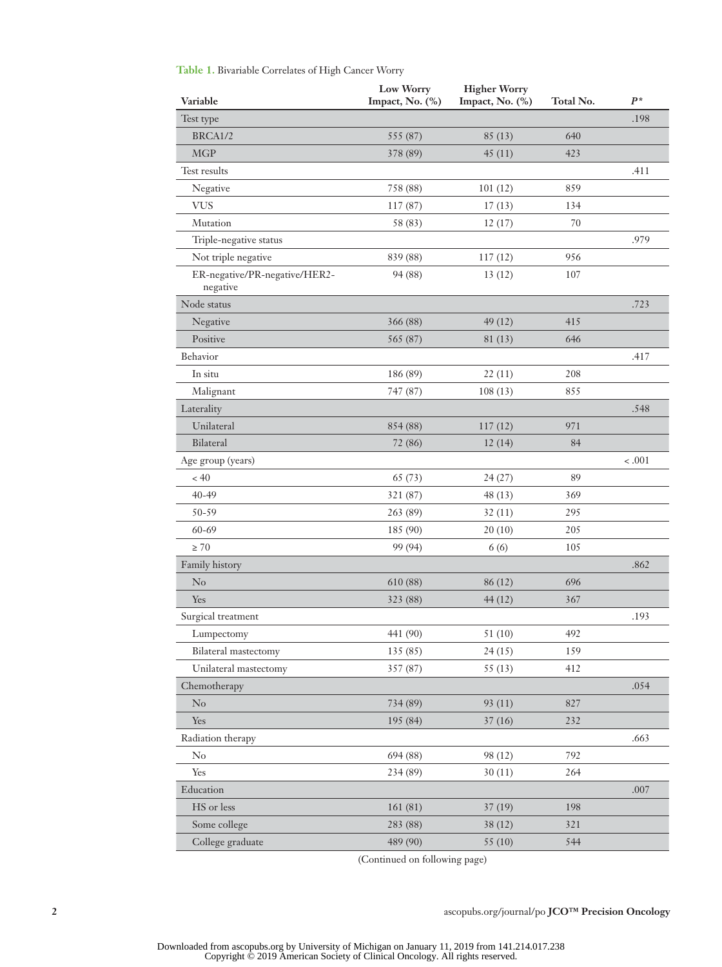|                                           | Low Worry       | <b>Higher Worry</b> |           | $P^*$   |
|-------------------------------------------|-----------------|---------------------|-----------|---------|
| Variable                                  | Impact, No. (%) | Impact, No. (%)     | Total No. |         |
| Test type                                 |                 |                     |           | .198    |
| BRCA1/2                                   | 555 (87)        | 85(13)              | 640       |         |
| <b>MGP</b>                                | 378 (89)        | 45(11)              | 423       |         |
| Test results                              |                 |                     |           | .411    |
| Negative                                  | 758 (88)        | 101(12)             | 859       |         |
| <b>VUS</b>                                | 117(87)         | 17(13)              | 134       |         |
| Mutation                                  | 58 (83)         | 12(17)              | $70\,$    |         |
| Triple-negative status                    |                 |                     |           | .979    |
| Not triple negative                       | 839 (88)        | 117(12)             | 956       |         |
| ER-negative/PR-negative/HER2-<br>negative | 94 (88)         | 13(12)              | 107       |         |
| Node status                               |                 |                     |           | .723    |
| Negative                                  | 366 (88)        | 49 (12)             | 415       |         |
| Positive                                  | 565 (87)        | 81(13)              | 646       |         |
| Behavior                                  |                 |                     |           | .417    |
| In situ                                   | 186 (89)        | 22(11)              | 208       |         |
| Malignant                                 | 747 (87)        | 108(13)             | 855       |         |
| Laterality                                |                 |                     |           | .548    |
| Unilateral                                | 854 (88)        | 117(12)             | 971       |         |
| Bilateral                                 | 72 (86)         | 12(14)              | 84        |         |
| Age group (years)                         |                 |                     |           | $-.001$ |
| < 40                                      | 65 (73)         | 24(27)              | 89        |         |
| 40-49                                     | 321 (87)        | 48(13)              | 369       |         |
| 50-59                                     | 263 (89)        | 32(11)              | 295       |         |
| 60-69                                     | 185 (90)        | 20(10)              | 205       |         |
| $\geq 70$                                 | 99 (94)         | 6(6)                | 105       |         |
| Family history                            |                 |                     |           | .862    |
| No                                        | 610 (88)        | 86 (12)             | 696       |         |
| Yes                                       | 323 (88)        | 44(12)              | 367       |         |
| Surgical treatment                        |                 |                     |           | .193    |
| Lumpectomy                                | 441 (90)        | 51 (10)             | 492       |         |
| Bilateral mastectomy                      | 135 (85)        | 24(15)              | 159       |         |
| Unilateral mastectomy                     | 357 (87)        | 55(13)              | 412       |         |
| Chemotherapy                              |                 |                     |           | .054    |
| $\rm No$                                  | 734 (89)        | 93 (11)             | 827       |         |
| Yes                                       | 195 (84)        | 37(16)              | 232       |         |
| Radiation therapy                         |                 |                     |           | .663    |
| $\rm No$                                  | 694 (88)        | 98 (12)             | 792       |         |
| Yes                                       | 234 (89)        | 30(11)              | 264       |         |
| Education                                 |                 |                     |           | .007    |
| HS or less                                | 161(81)         | 37(19)              | 198       |         |
| Some college                              | 283 (88)        | 38(12)              | 321       |         |
| College graduate                          | 489 (90)        | 55 (10)             | 544       |         |

<span id="page-1-0"></span>**Table 1.** Bivariable Correlates of High Cancer Worry

(Continued on following page)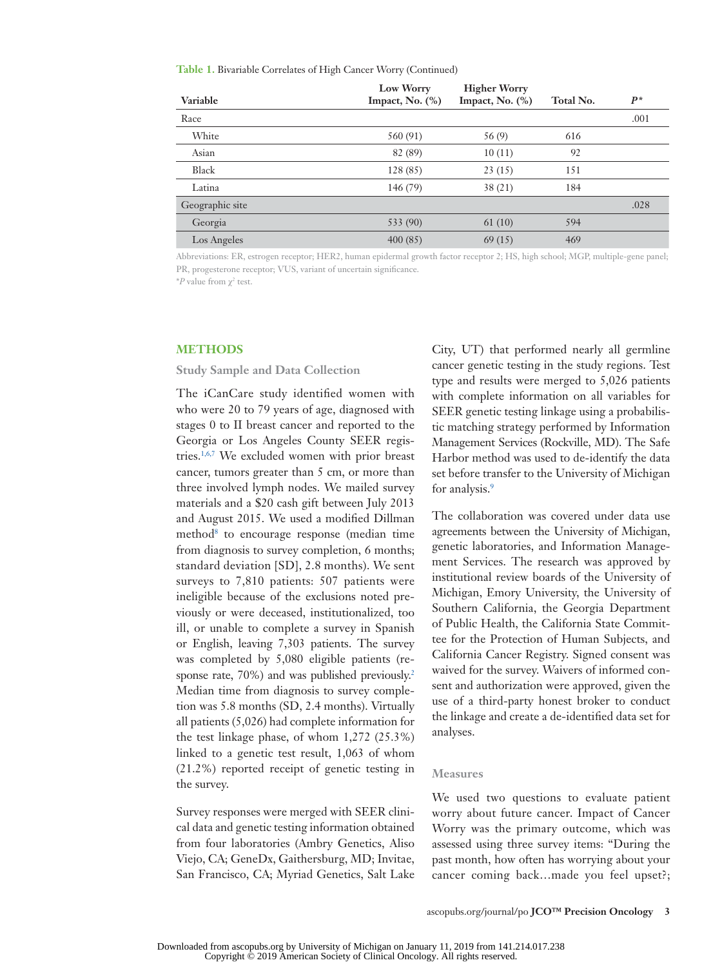**Table 1.** Bivariable Correlates of High Cancer Worry (Continued)

| Variable        | Low Worry<br>Impact, No. $(\%)$ | <b>Higher Worry</b><br>Impact, No. $(\%)$ | Total No. | $P^*$ |
|-----------------|---------------------------------|-------------------------------------------|-----------|-------|
| Race            |                                 |                                           |           | .001  |
| White           | 560 (91)                        | 56 (9)                                    | 616       |       |
| Asian           | 82 (89)                         | 10(11)                                    | 92        |       |
| Black           | 128 (85)                        | 23(15)                                    | 151       |       |
| Latina          | 146 (79)                        | 38(21)                                    | 184       |       |
| Geographic site |                                 |                                           |           | .028  |
| Georgia         | 533 (90)                        | 61(10)                                    | 594       |       |
| Los Angeles     | 400(85)                         | 69(15)                                    | 469       |       |

Abbreviations: ER, estrogen receptor; HER2, human epidermal growth factor receptor 2; HS, high school; MGP, multiple-gene panel; PR, progesterone receptor; VUS, variant of uncertain significance.

 $*P$  value from  $\chi^2$  test.

#### **METHODS**

**Study Sample and Data Collection**

The iCanCare study identified women with who were 20 to 79 years of age, diagnosed with stages 0 to II breast cancer and reported to the Georgia or Los Angeles County SEER registries.[1,](#page-5-0)[6](#page-6-3)[,7](#page-6-4) We excluded women with prior breast cancer, tumors greater than 5 cm, or more than three involved lymph nodes. We mailed survey materials and a \$20 cash gift between July 2013 and August 2015. We used a modified Dillman method<sup>[8](#page-6-5)</sup> to encourage response (median time from diagnosis to survey completion, 6 months; standard deviation [SD], 2.8 months). We sent surveys to 7,810 patients: 507 patients were ineligible because of the exclusions noted previously or were deceased, institutionalized, too ill, or unable to complete a survey in Spanish or English, leaving 7,303 patients. The survey was completed by 5,080 eligible patients (response rate, 70%) and was published previously.<sup>2</sup> Median time from diagnosis to survey completion was 5.8 months (SD, 2.4 months). Virtually all patients (5,026) had complete information for the test linkage phase, of whom 1,272 (25.3%) linked to a genetic test result, 1,063 of whom (21.2%) reported receipt of genetic testing in the survey.

Survey responses were merged with SEER clinical data and genetic testing information obtained from four laboratories (Ambry Genetics, Aliso Viejo, CA; GeneDx, Gaithersburg, MD; Invitae, San Francisco, CA; Myriad Genetics, Salt Lake

City, UT) that performed nearly all germline cancer genetic testing in the study regions. Test type and results were merged to 5,026 patients with complete information on all variables for SEER genetic testing linkage using a probabilistic matching strategy performed by Information Management Services (Rockville, MD). The Safe Harbor method was used to de-identify the data set before transfer to the University of Michigan for analysis.<sup>9</sup>

The collaboration was covered under data use agreements between the University of Michigan, genetic laboratories, and Information Management Services. The research was approved by institutional review boards of the University of Michigan, Emory University, the University of Southern California, the Georgia Department of Public Health, the California State Committee for the Protection of Human Subjects, and California Cancer Registry. Signed consent was waived for the survey. Waivers of informed consent and authorization were approved, given the use of a third-party honest broker to conduct the linkage and create a de-identified data set for analyses.

### **Measures**

We used two questions to evaluate patient worry about future cancer. Impact of Cancer Worry was the primary outcome, which was assessed using three survey items: "During the past month, how often has worrying about your cancer coming back…made you feel upset?;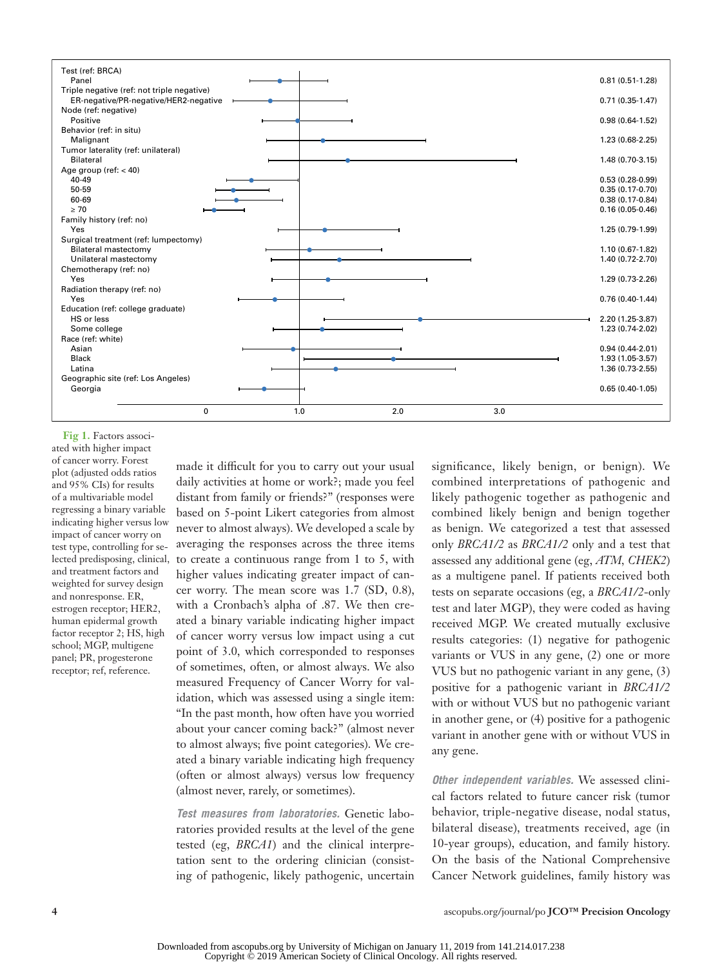

<span id="page-3-0"></span>Fig 1. Factors associated with higher impact of cancer worry. Forest plot (adjusted odds ratios and 95% CIs) for results of a multivariable model regressing a binary variable indicating higher versus low impact of cancer worry on test type, controlling for selected predisposing, clinical, and treatment factors and weighted for survey design and nonresponse. ER, estrogen receptor; HER2, human epidermal growth factor receptor 2; HS, high school; MGP, multigene panel; PR, progesterone receptor; ref, reference.

made it difficult for you to carry out your usual daily activities at home or work?; made you feel distant from family or friends?" (responses were based on 5-point Likert categories from almost never to almost always). We developed a scale by averaging the responses across the three items to create a continuous range from 1 to 5, with higher values indicating greater impact of cancer worry. The mean score was 1.7 (SD, 0.8), with a Cronbach's alpha of .87. We then created a binary variable indicating higher impact of cancer worry versus low impact using a cut point of 3.0, which corresponded to responses of sometimes, often, or almost always. We also measured Frequency of Cancer Worry for validation, which was assessed using a single item: "In the past month, how often have you worried about your cancer coming back?" (almost never to almost always; five point categories). We created a binary variable indicating high frequency (often or almost always) versus low frequency (almost never, rarely, or sometimes).

*Test measures from laboratories.* Genetic laboratories provided results at the level of the gene tested (eg, *BRCA1*) and the clinical interpretation sent to the ordering clinician (consisting of pathogenic, likely pathogenic, uncertain

significance, likely benign, or benign). We combined interpretations of pathogenic and likely pathogenic together as pathogenic and combined likely benign and benign together as benign. We categorized a test that assessed only *BRCA1/2* as *BRCA1/2* only and a test that assessed any additional gene (eg, *ATM, CHEK2*) as a multigene panel. If patients received both tests on separate occasions (eg, a *BRCA1/2*-only test and later MGP), they were coded as having received MGP. We created mutually exclusive results categories: (1) negative for pathogenic variants or VUS in any gene, (2) one or more VUS but no pathogenic variant in any gene, (3) positive for a pathogenic variant in *BRCA1/2* with or without VUS but no pathogenic variant in another gene, or (4) positive for a pathogenic variant in another gene with or without VUS in any gene.

*Other independent variables.* We assessed clinical factors related to future cancer risk (tumor behavior, triple-negative disease, nodal status, bilateral disease), treatments received, age (in 10-year groups), education, and family history. On the basis of the National Comprehensive Cancer Network guidelines, family history was

**4** [ascopubs.org/journal/po](http://ascopubs.org/journal/po) **JCO™ Precision Oncology**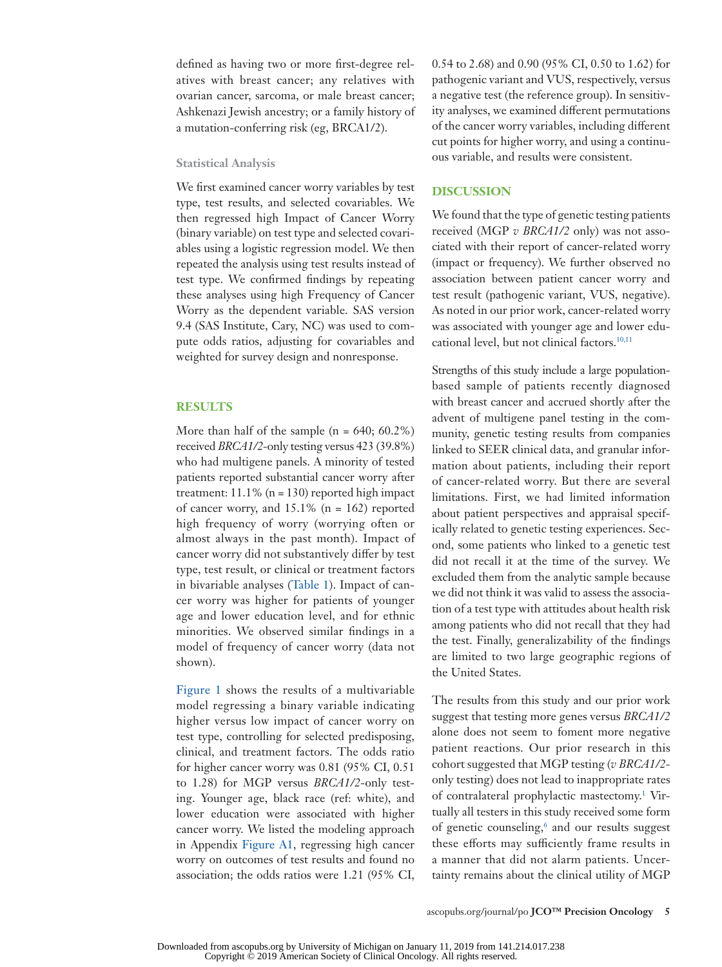defined as having two or more first-degree relatives with breast cancer; any relatives with ovarian cancer, sarcoma, or male breast cancer; Ashkenazi Jewish ancestry; or a family history of a mutation-conferring risk (eg, BRCA1/2).

#### **Statistical Analysis**

We first examined cancer worry variables by test type, test results, and selected covariables. We then regressed high Impact of Cancer Worry (binary variable) on test type and selected covariables using a logistic regression model. We then repeated the analysis using test results instead of test type. We confirmed findings by repeating these analyses using high Frequency of Cancer Worry as the dependent variable. SAS version 9.4 (SAS Institute, Cary, NC) was used to compute odds ratios, adjusting for covariables and weighted for survey design and nonresponse.

## **RESULTS**

More than half of the sample  $(n = 640; 60.2\%)$ received *BRCA1/2-*only testing versus 423 (39.8%) who had multigene panels. A minority of tested patients reported substantial cancer worry after treatment:  $11.1\%$  (n = 130) reported high impact of cancer worry, and 15.1% (n = 162) reported high frequency of worry (worrying often or almost always in the past month). Impact of cancer worry did not substantively differ by test type, test result, or clinical or treatment factors in bivariable analyses ([Table 1\)](#page-1-0). Impact of cancer worry was higher for patients of younger age and lower education level, and for ethnic minorities. We observed similar findings in a model of frequency of cancer worry (data not shown).

[Figure 1](#page-3-0) shows the results of a multivariable model regressing a binary variable indicating higher versus low impact of cancer worry on test type, controlling for selected predisposing, clinical, and treatment factors. The odds ratio for higher cancer worry was 0.81 (95% CI, 0.51 to 1.28) for MGP versus *BRCA1/2*-only testing. Younger age, black race (ref: white), and lower education were associated with higher cancer worry. We listed the modeling approach in Appendix [Figure A1](#page-7-0), regressing high cancer worry on outcomes of test results and found no association; the odds ratios were 1.21 (95% CI, 0.54 to 2.68) and 0.90 (95% CI, 0.50 to 1.62) for pathogenic variant and VUS, respectively, versus a negative test (the reference group). In sensitivity analyses, we examined different permutations of the cancer worry variables, including different cut points for higher worry, and using a continuous variable, and results were consistent.

## **DISCUSSION**

We found that the type of genetic testing patients received (MGP *v BRCA1/2* only) was not associated with their report of cancer-related worry (impact or frequency). We further observed no association between patient cancer worry and test result (pathogenic variant, VUS, negative). As noted in our prior work, cancer-related worry was associated with younger age and lower edu-cational level, but not clinical factors.<sup>10[,11](#page-6-8)</sup>

Strengths of this study include a large populationbased sample of patients recently diagnosed with breast cancer and accrued shortly after the advent of multigene panel testing in the community, genetic testing results from companies linked to SEER clinical data, and granular information about patients, including their report of cancer-related worry. But there are several limitations. First, we had limited information about patient perspectives and appraisal specifically related to genetic testing experiences. Second, some patients who linked to a genetic test did not recall it at the time of the survey. We excluded them from the analytic sample because we did not think it was valid to assess the association of a test type with attitudes about health risk among patients who did not recall that they had the test. Finally, generalizability of the findings are limited to two large geographic regions of the United States.

The results from this study and our prior work suggest that testing more genes versus *BRCA1/2* alone does not seem to foment more negative patient reactions. Our prior research in this cohort suggested that MGP testing (*v BRCA1/2* only testing) does not lead to inappropriate rates of contralateral prophylactic mastectomy.<sup>[1](#page-5-0)</sup> Virtually all testers in this study received some form of genetic counseling,<sup>6</sup> and our results suggest these efforts may sufficiently frame results in a manner that did not alarm patients. Uncertainty remains about the clinical utility of MGP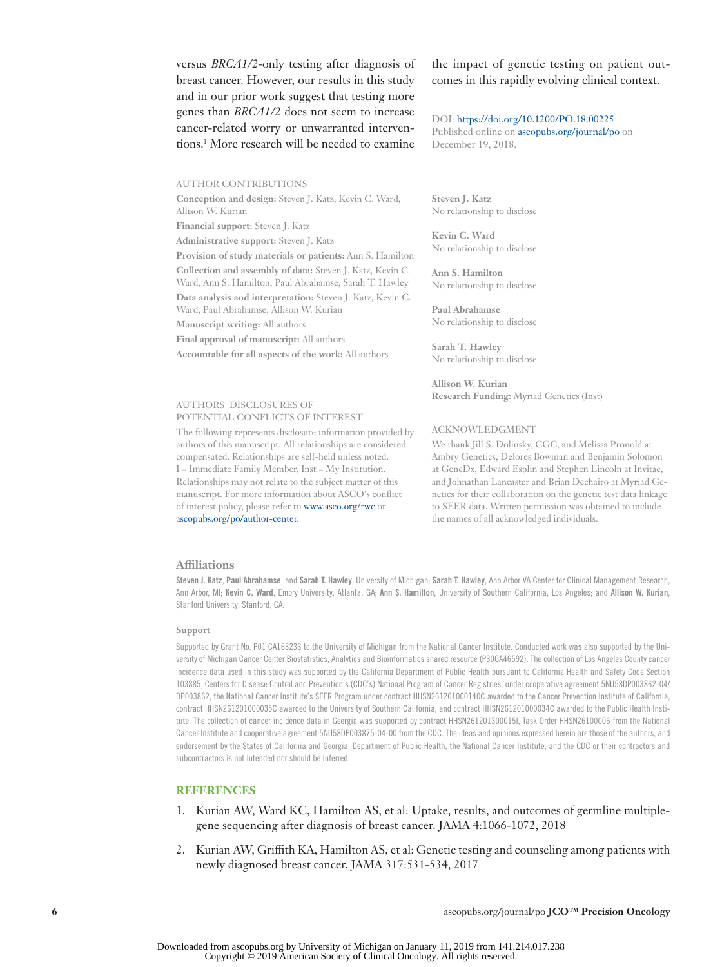versus *BRCA1/2*-only testing after diagnosis of breast cancer. However, our results in this study and in our prior work suggest that testing more genes than *BRCA1/2* does not seem to increase cancer-related worry or unwarranted interventions.[1](#page-5-0) More research will be needed to examine

AUTHOR CONTRIBUTIONS

**Conception and design:** Steven J. Katz, Kevin C. Ward, Allison W. Kurian

**Financial support:** Steven J. Katz

**Administrative support:** Steven J. Katz

**Provision of study materials or patients:** Ann S. Hamilton

**Collection and assembly of data:** Steven J. Katz, Kevin C. Ward, Ann S. Hamilton, Paul Abrahamse, Sarah T. Hawley **Data analysis and interpretation:** Steven J. Katz, Kevin C.

Ward, Paul Abrahamse, Allison W. Kurian

**Manuscript writing:** All authors

**Final approval of manuscript:** All authors

**Accountable for all aspects of the work:** All authors

#### AUTHORS' DISCLOSURES OF POTENTIAL CONFLICTS OF INTEREST

The following represents disclosure information provided by authors of this manuscript. All relationships are considered compensated. Relationships are self-held unless noted. I = Immediate Family Member, Inst = My Institution. Relationships may not relate to the subject matter of this manuscript. For more information about ASCO's conflict of interest policy, please refer to [www.asco.org/rwc](http://www.asco.org/rwc) or [ascopubs.org/po/author-center](http://www.ascopubs.org/po/author-center).

the impact of genetic testing on patient outcomes in this rapidly evolving clinical context.

#### DOI: [https://doi.org/10.1200/PO.18.00225](http://ascopubs.org/doi/full/10.1200/PO.18.00225)

Published online on [ascopubs.org/journal/po](http://ascopubs.org/journal/po) on December 19, 2018.

**Steven J. Katz** No relationship to disclose

**Kevin C. Ward** No relationship to disclose

**Ann S. Hamilton** No relationship to disclose

**Paul Abrahamse** No relationship to disclose

**Sarah T. Hawley** No relationship to disclose

**Allison W. Kurian Research Funding:** Myriad Genetics (Inst)

#### ACKNOWLEDGMENT

We thank Jill S. Dolinsky, CGC, and Melissa Pronold at Ambry Genetics, Delores Bowman and Benjamin Solomon at GeneDx, Edward Esplin and Stephen Lincoln at Invitae, and Johnathan Lancaster and Brian Dechairo at Myriad Genetics for their collaboration on the genetic test data linkage to SEER data. Written permission was obtained to include the names of all acknowledged individuals.

## **Affiliations**

Steven J. Katz, Paul Abrahamse, and Sarah T. Hawley, University of Michigan; Sarah T. Hawley, Ann Arbor VA Center for Clinical Management Research, Ann Arbor, MI; Kevin C. Ward, Emory University, Atlanta, GA; Ann S. Hamilton, University of Southern California, Los Angeles; and Allison W. Kurian, Stanford University, Stanford, CA.

#### **Support**

Supported by Grant No. P01 CA163233 to the University of Michigan from the National Cancer Institute. Conducted work was also supported by the University of Michigan Cancer Center Biostatistics, Analytics and Bioinformatics shared resource (P30CA46592). The collection of Los Angeles County cancer incidence data used in this study was supported by the California Department of Public Health pursuant to California Health and Safety Code Section 103885, Centers for Disease Control and Prevention's (CDC's) National Program of Cancer Registries, under cooperative agreement 5NU58DP003862-04/ DP003862, the National Cancer Institute's SEER Program under contract HHSN261201000140C awarded to the Cancer Prevention Institute of California, contract HHSN261201000035C awarded to the University of Southern California, and contract HHSN261201000034C awarded to the Public Health Institute. The collection of cancer incidence data in Georgia was supported by contract HHSN261201300015I, Task Order HHSN26100006 from the National Cancer Institute and cooperative agreement 5NU58DP003875-04-00 from the CDC. The ideas and opinions expressed herein are those of the authors, and endorsement by the States of California and Georgia, Department of Public Health, the National Cancer Institute, and the CDC or their contractors and subcontractors is not intended nor should be inferred.

### **REFERENCES**

- <span id="page-5-0"></span>1. Kurian AW, Ward KC, Hamilton AS, et al: Uptake, results, and outcomes of germline multiplegene sequencing after diagnosis of breast cancer. JAMA 4:1066-1072, 2018
- <span id="page-5-1"></span>2. Kurian AW, Griffith KA, Hamilton AS, et al: Genetic testing and counseling among patients with newly diagnosed breast cancer. JAMA 317:531-534, 2017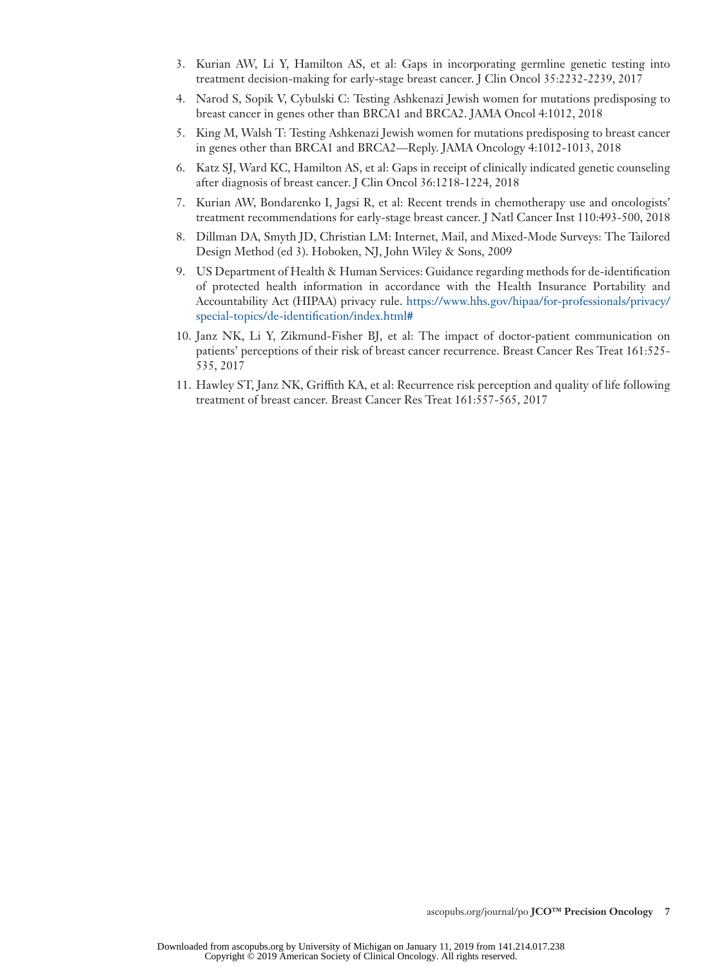- <span id="page-6-0"></span>3. Kurian AW, Li Y, Hamilton AS, et al: Gaps in incorporating germline genetic testing into treatment decision-making for early-stage breast cancer. J Clin Oncol 35:2232-2239, 2017
- <span id="page-6-1"></span>4. Narod S, Sopik V, Cybulski C: Testing Ashkenazi Jewish women for mutations predisposing to breast cancer in genes other than BRCA1 and BRCA2. JAMA Oncol 4:1012, 2018
- <span id="page-6-2"></span>5. King M, Walsh T: Testing Ashkenazi Jewish women for mutations predisposing to breast cancer in genes other than BRCA1 and BRCA2—Reply. JAMA Oncology 4:1012-1013, 2018
- <span id="page-6-3"></span>6. Katz SJ, Ward KC, Hamilton AS, et al: Gaps in receipt of clinically indicated genetic counseling after diagnosis of breast cancer. J Clin Oncol 36:1218-1224, 2018
- <span id="page-6-4"></span>7. Kurian AW, Bondarenko I, Jagsi R, et al: Recent trends in chemotherapy use and oncologists' treatment recommendations for early-stage breast cancer. J Natl Cancer Inst 110:493-500, 2018
- <span id="page-6-5"></span>8. Dillman DA, Smyth JD, Christian LM: Internet, Mail, and Mixed-Mode Surveys: The Tailored Design Method (ed 3). Hoboken, NJ, John Wiley & Sons, 2009
- <span id="page-6-6"></span>9. US Department of Health & Human Services: Guidance regarding methods for de-identification of protected health information in accordance with the Health Insurance Portability and Accountability Act (HIPAA) privacy rule. [https://www.hhs.gov/hipaa/for-professionals/privacy/](https://www.hhs.gov/hipaa/for-professionals/privacy/special-topics/de-identification/index.html#) [special-topics/de-identification/index.html#](https://www.hhs.gov/hipaa/for-professionals/privacy/special-topics/de-identification/index.html#)
- <span id="page-6-7"></span>10. Janz NK, Li Y, Zikmund-Fisher BJ, et al: The impact of doctor-patient communication on patients' perceptions of their risk of breast cancer recurrence. Breast Cancer Res Treat 161:525- 535, 2017
- <span id="page-6-8"></span>11. Hawley ST, Janz NK, Griffith KA, et al: Recurrence risk perception and quality of life following treatment of breast cancer. Breast Cancer Res Treat 161:557-565, 2017